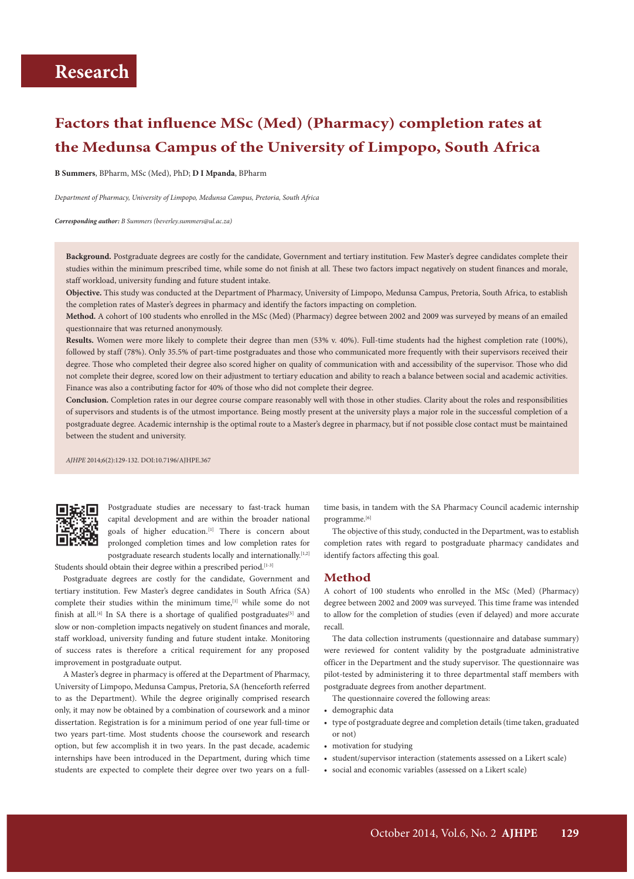# **Factors that influence MSc (Med) (Pharmacy) completion rates at the Medunsa Campus of the University of Limpopo, South Africa**

**B Summers**, BPharm, MSc (Med), PhD; **D I Mpanda**, BPharm

*Department of Pharmacy, University of Limpopo, Medunsa Campus, Pretoria, South Africa*

*Corresponding author: B Summers (beverley.summers@ul.ac.za)*

**Background.** Postgraduate degrees are costly for the candidate, Government and tertiary institution. Few Master's degree candidates complete their studies within the minimum prescribed time, while some do not finish at all. These two factors impact negatively on student finances and morale, staff workload, university funding and future student intake.

**Objective.** This study was conducted at the Department of Pharmacy, University of Limpopo, Medunsa Campus, Pretoria, South Africa, to establish the completion rates of Master's degrees in pharmacy and identify the factors impacting on completion.

**Method.** A cohort of 100 students who enrolled in the MSc (Med) (Pharmacy) degree between 2002 and 2009 was surveyed by means of an emailed questionnaire that was returned anonymously.

**Results.** Women were more likely to complete their degree than men (53% v. 40%). Full-time students had the highest completion rate (100%), followed by staff (78%). Only 35.5% of part-time postgraduates and those who communicated more frequently with their supervisors received their degree. Those who completed their degree also scored higher on quality of communication with and accessibility of the supervisor. Those who did not complete their degree, scored low on their adjustment to tertiary education and ability to reach a balance between social and academic activities. Finance was also a contributing factor for 40% of those who did not complete their degree.

**Conclusion.** Completion rates in our degree course compare reasonably well with those in other studies. Clarity about the roles and responsibilities of supervisors and students is of the utmost importance. Being mostly present at the university plays a major role in the successful completion of a postgraduate degree. Academic internship is the optimal route to a Master's degree in pharmacy, but if not possible close contact must be maintained between the student and university.

*AJHPE* 2014;6(2):129-132. DOI:10.7196/AJHPE.367



Postgraduate studies are necessary to fast-track human capital development and are within the broader national goals of higher education.<sup>[1]</sup> There is concern about prolonged completion times and low completion rates for postgraduate research students locally and internationally.<sup>[1,2]</sup>

Students should obtain their degree within a prescribed period.<sup>[1-3]</sup>

Postgraduate degrees are costly for the candidate, Government and tertiary institution. Few Master's degree candidates in South Africa (SA) complete their studies within the minimum time,<sup>[1]</sup> while some do not finish at all.<sup>[4]</sup> In SA there is a shortage of qualified postgraduates<sup>[5]</sup> and slow or non-completion impacts negatively on student finances and morale, staff workload, university funding and future student intake. Monitoring of success rates is therefore a critical requirement for any proposed improvement in postgraduate output.

A Master's degree in pharmacy is offered at the Department of Pharmacy, University of Limpopo, Medunsa Campus, Pretoria, SA (henceforth referred to as the Department). While the degree originally comprised research only, it may now be obtained by a combination of coursework and a minor dissertation. Registration is for a minimum period of one year full-time or two years part-time. Most students choose the coursework and research option, but few accomplish it in two years. In the past decade, academic internships have been introduced in the Department, during which time students are expected to complete their degree over two years on a fulltime basis, in tandem with the SA Pharmacy Council academic internship programme.[6]

The objective of this study, conducted in the Department, was to establish completion rates with regard to postgraduate pharmacy candidates and identify factors affecting this goal.

## **Method**

A cohort of 100 students who enrolled in the MSc (Med) (Pharmacy) degree between 2002 and 2009 was surveyed. This time frame was intended to allow for the completion of studies (even if delayed) and more accurate recall.

The data collection instruments (questionnaire and database summary) were reviewed for content validity by the postgraduate administrative officer in the Department and the study supervisor. The questionnaire was pilot-tested by administering it to three departmental staff members with postgraduate degrees from another department.

The questionnaire covered the following areas:

- demographic data
- type of postgraduate degree and completion details (time taken, graduated or not)
- motivation for studying
- student/supervisor interaction (statements assessed on a Likert scale)
- social and economic variables (assessed on a Likert scale)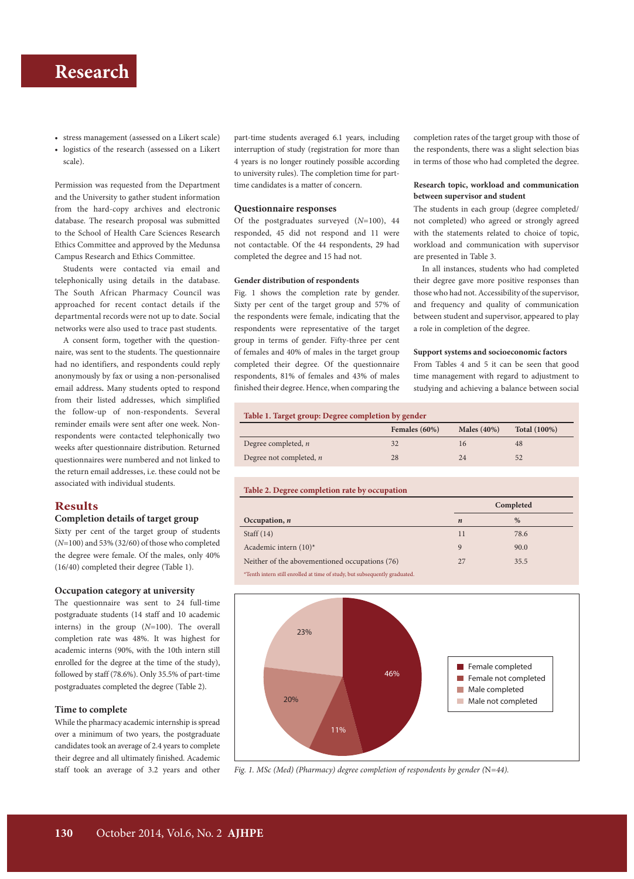# **Research Research Research Research Research Research Research Research Research Research Research Research Research Research Research Research Research Research Research Research R**

- stress management (assessed on a Likert scale)
- logistics of the research (assessed on a Likert scale).

Permission was requested from the Department and the University to gather student information from the hard-copy archives and electronic database. The research proposal was submitted to the School of Health Care Sciences Research Ethics Committee and approved by the Medunsa Campus Research and Ethics Committee.

Students were contacted via email and telephonically using details in the database. The South African Pharmacy Council was approached for recent contact details if the departmental records were not up to date. Social networks were also used to trace past students.

A consent form, together with the questionnaire, was sent to the students. The questionnaire had no identifiers, and respondents could reply anonymously by fax or using a non-personalised email address**.** Many students opted to respond from their listed addresses, which simplified the follow-up of non-respondents. Several reminder emails were sent after one week. Nonrespondents were contacted telephonically two weeks after questionnaire distribution. Returned questionnaires were numbered and not linked to the return email addresses, i.e. these could not be associated with individual students.

## **Results**

## **Completion details of target group**

Sixty per cent of the target group of students (*N*=100) and 53% (32/60) of those who completed the degree were female. Of the males, only 40% (16/40) completed their degree (Table 1).

### **Occupation category at university**

The questionnaire was sent to 24 full-time postgraduate students (14 staff and 10 academic interns) in the group (*N*=100). The overall completion rate was 48%. It was highest for academic interns (90%, with the 10th intern still enrolled for the degree at the time of the study), followed by staff (78.6%). Only 35.5% of part-time postgraduates completed the degree (Table 2).

### **Time to complete**

While the pharmacy academic internship is spread over a minimum of two years, the postgraduate candidates took an average of 2.4 years to complete their degree and all ultimately finished. Academic staff took an average of 3.2 years and other part-time students averaged 6.1 years, including interruption of study (registration for more than 4 years is no longer routinely possible according to university rules). The completion time for parttime candidates is a matter of concern.

### **Questionnaire responses**

Of the postgraduates surveyed (*N*=100), 44 responded, 45 did not respond and 11 were not contactable. Of the 44 respondents, 29 had completed the degree and 15 had not.

#### **Gender distribution of respondents**

Fig. 1 shows the completion rate by gender. Sixty per cent of the target group and 57% of the respondents were female, indicating that the respondents were representative of the target group in terms of gender. Fifty-three per cent of females and 40% of males in the target group completed their degree. Of the questionnaire respondents, 81% of females and 43% of males finished their degree. Hence, when comparing the completion rates of the target group with those of the respondents, there was a slight selection bias in terms of those who had completed the degree.

### **Research topic, workload and communication between supervisor and student**

The students in each group (degree completed/ not completed) who agreed or strongly agreed with the statements related to choice of topic, workload and communication with supervisor are presented in Table 3.

In all instances, students who had completed their degree gave more positive responses than those who had not. Accessibility of the supervisor, and frequency and quality of communication between student and supervisor, appeared to play a role in completion of the degree.

### **Support systems and socioeconomic factors**

From Tables 4 and 5 it can be seen that good time management with regard to adjustment to studying and achieving a balance between social

#### **Table 1. Target group: Degree completion by gender**

|                           | Females $(60\%)$ | Males $(40\%)$ | <b>Total</b> (100%) |
|---------------------------|------------------|----------------|---------------------|
| Degree completed, $n$     |                  | 16             | 48                  |
| Degree not completed, $n$ | 28               | 24             | 52                  |

#### **Table 2. Degree completion rate by occupation**

|                                                                            | Completed        |      |
|----------------------------------------------------------------------------|------------------|------|
| Occupation, $n$                                                            | $\boldsymbol{n}$ | $\%$ |
| Staff $(14)$                                                               | 11               | 78.6 |
| Academic intern $(10)^*$                                                   | 9                | 90.0 |
| Neither of the abovementioned occupations (76)                             | 27               | 35.5 |
| *Tenth intern still enrolled at time of study, but subsequently graduated. |                  |      |



*Fig. 1. MSc (Med) (Pharmacy) degree completion of respondents by gender (*N*=44).*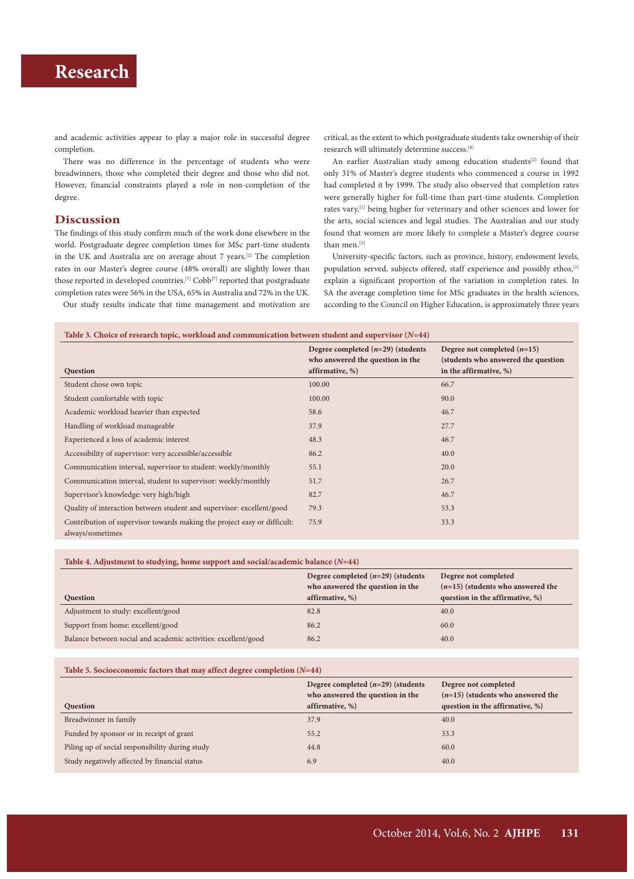# **Research**

and academic activities appear to play a major role in successful degree completion.

There was no difference in the percentage of students who were breadwinners, those who completed their degree and those who did not. However, financial constraints played a role in non-completion of the degree.

## **Discussion**

The findings of this study confirm much of the work done elsewhere in the world. Postgraduate degree completion times for MSc part-time students in the UK and Australia are on average about 7 years.[2] The completion rates in our Master's degree course (48% overall) are slightly lower than those reported in developed countries.<sup>[7]</sup> Cobb<sup>[7]</sup> reported that postgraduate completion rates were 56% in the USA, 65% in Australia and 72% in the UK.

Our study results indicate that time management and motivation are

critical, as the extent to which postgraduate students take ownership of their research will ultimately determine success.[8]

An earlier Australian study among education students<sup>[2]</sup> found that only 31% of Master's degree students who commenced a course in 1992 had completed it by 1999. The study also observed that completion rates were generally higher for full-time than part-time students. Completion rates vary,<sup>[1]</sup> being higher for veterinary and other sciences and lower for the arts, social sciences and legal studies. The Australian and our study found that women are more likely to complete a Master's degree course than men.<sup>[5]</sup>

University-specific factors, such as province, history, endowment levels, population served, subjects offered, staff experience and possibly ethos, [1] explain a significant proportion of the variation in completion rates. In SA the average completion time for MSc graduates in the health sciences, according to the Council on Higher Education, is approximately three years

### **Table 3. Choice of research topic, workload and communication between student and supervisor (***N***=44)**

| Question                                                                                     | Degree completed $(n=29)$ (students<br>who answered the question in the<br>affirmative, %) | Degree not completed $(n=15)$<br>(students who answered the question<br>in the affirmative, %) |
|----------------------------------------------------------------------------------------------|--------------------------------------------------------------------------------------------|------------------------------------------------------------------------------------------------|
| Student chose own topic                                                                      | 100.00                                                                                     | 66.7                                                                                           |
| Student comfortable with topic                                                               | 100.00                                                                                     | 90.0                                                                                           |
| Academic workload heavier than expected                                                      | 58.6                                                                                       | 46.7                                                                                           |
| Handling of workload manageable                                                              | 37.9                                                                                       | 27.7                                                                                           |
| Experienced a loss of academic interest                                                      | 48.3                                                                                       | 46.7                                                                                           |
| Accessibility of supervisor: very accessible/accessible                                      | 86.2                                                                                       | 40.0                                                                                           |
| Communication interval, supervisor to student: weekly/monthly                                | 55.1                                                                                       | 20.0                                                                                           |
| Communication interval, student to supervisor: weekly/monthly                                | 51.7                                                                                       | 26.7                                                                                           |
| Supervisor's knowledge: very high/high                                                       | 82.7                                                                                       | 46.7                                                                                           |
| Quality of interaction between student and supervisor: excellent/good                        | 79.3                                                                                       | 53.3                                                                                           |
| Contribution of supervisor towards making the project easy or difficult:<br>always/sometimes | 75.9                                                                                       | 33.3                                                                                           |

## **Table 4. Adjustment to studying, home support and social/academic balance (***N***=44)**

|                                                                | Degree completed $(n=29)$ (students<br>who answered the question in the | Degree not completed<br>$(n=15)$ (students who answered the |
|----------------------------------------------------------------|-------------------------------------------------------------------------|-------------------------------------------------------------|
| Question                                                       | affirmative, %)                                                         | question in the affirmative, %)                             |
| Adjustment to study: excellent/good                            | 82.8                                                                    | 40.0                                                        |
| Support from home: excellent/good                              | 86.2                                                                    | 60.0                                                        |
| Balance between social and academic activities: excellent/good | 86.2                                                                    | 40.0                                                        |

#### **Table 5. Socioeconomic factors that may affect degree completion (***N***=44)**

|                                                 | Degree completed $(n=29)$ (students<br>who answered the question in the | Degree not completed<br>$(n=15)$ (students who answered the |
|-------------------------------------------------|-------------------------------------------------------------------------|-------------------------------------------------------------|
| Question                                        | affirmative, %)                                                         | question in the affirmative, %)                             |
| Breadwinner in family                           | 37.9                                                                    | 40.0                                                        |
| Funded by sponsor or in receipt of grant        | 55.2                                                                    | 33.3                                                        |
| Piling up of social responsibility during study | 44.8                                                                    | 60.0                                                        |
| Study negatively affected by financial status   | 6.9                                                                     | 40.0                                                        |